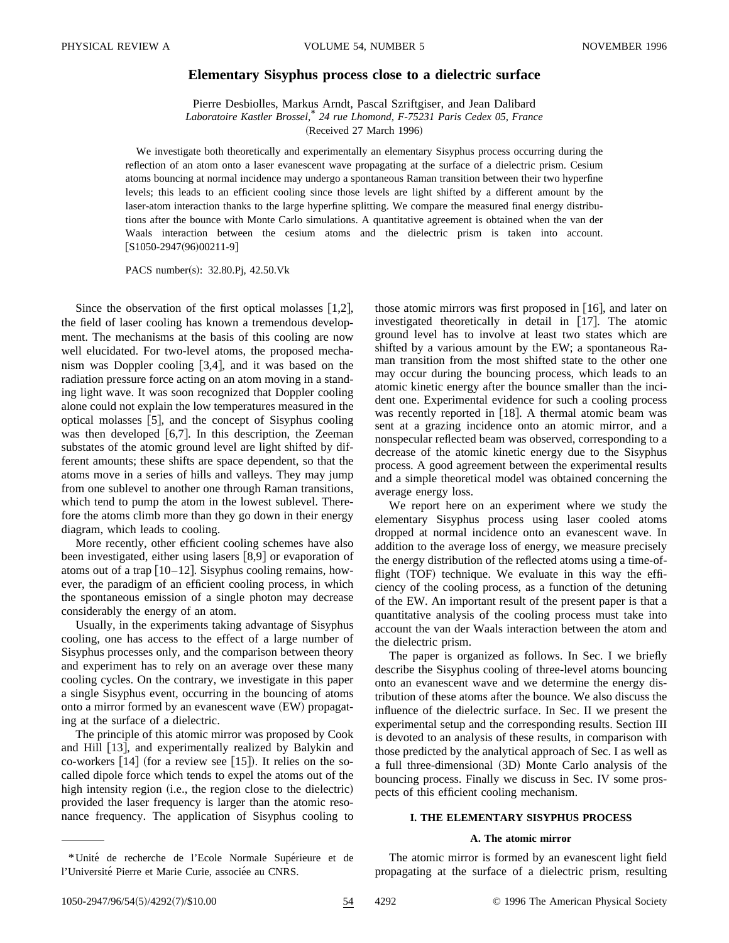# **Elementary Sisyphus process close to a dielectric surface**

Pierre Desbiolles, Markus Arndt, Pascal Szriftgiser, and Jean Dalibard *Laboratoire Kastler Brossel,*\* *24 rue Lhomond, F-75231 Paris Cedex 05, France* (Received 27 March 1996)

We investigate both theoretically and experimentally an elementary Sisyphus process occurring during the reflection of an atom onto a laser evanescent wave propagating at the surface of a dielectric prism. Cesium atoms bouncing at normal incidence may undergo a spontaneous Raman transition between their two hyperfine levels; this leads to an efficient cooling since those levels are light shifted by a different amount by the laser-atom interaction thanks to the large hyperfine splitting. We compare the measured final energy distributions after the bounce with Monte Carlo simulations. A quantitative agreement is obtained when the van der Waals interaction between the cesium atoms and the dielectric prism is taken into account.  $[S1050-2947(96)00211-9]$ 

PACS number(s):  $32.80 \text{.}$ Pj,  $42.50 \text{.}$ Vk

Since the observation of the first optical molasses  $[1,2]$ , the field of laser cooling has known a tremendous development. The mechanisms at the basis of this cooling are now well elucidated. For two-level atoms, the proposed mechanism was Doppler cooling  $[3,4]$ , and it was based on the radiation pressure force acting on an atom moving in a standing light wave. It was soon recognized that Doppler cooling alone could not explain the low temperatures measured in the optical molasses  $[5]$ , and the concept of Sisyphus cooling was then developed  $[6,7]$ . In this description, the Zeeman substates of the atomic ground level are light shifted by different amounts; these shifts are space dependent, so that the atoms move in a series of hills and valleys. They may jump from one sublevel to another one through Raman transitions, which tend to pump the atom in the lowest sublevel. Therefore the atoms climb more than they go down in their energy diagram, which leads to cooling.

More recently, other efficient cooling schemes have also been investigated, either using lasers  $[8,9]$  or evaporation of atoms out of a trap  $[10-12]$ . Sisyphus cooling remains, however, the paradigm of an efficient cooling process, in which the spontaneous emission of a single photon may decrease considerably the energy of an atom.

Usually, in the experiments taking advantage of Sisyphus cooling, one has access to the effect of a large number of Sisyphus processes only, and the comparison between theory and experiment has to rely on an average over these many cooling cycles. On the contrary, we investigate in this paper a single Sisyphus event, occurring in the bouncing of atoms onto a mirror formed by an evanescent wave  $(EW)$  propagating at the surface of a dielectric.

The principle of this atomic mirror was proposed by Cook and Hill [13], and experimentally realized by Balykin and co-workers  $[14]$  (for a review see  $[15]$ ). It relies on the socalled dipole force which tends to expel the atoms out of the high intensity region  $(i.e., the region close to the dielectric)$ provided the laser frequency is larger than the atomic resonance frequency. The application of Sisyphus cooling to those atomic mirrors was first proposed in  $[16]$ , and later on investigated theoretically in detail in  $[17]$ . The atomic ground level has to involve at least two states which are shifted by a various amount by the EW; a spontaneous Raman transition from the most shifted state to the other one may occur during the bouncing process, which leads to an atomic kinetic energy after the bounce smaller than the incident one. Experimental evidence for such a cooling process was recently reported in  $[18]$ . A thermal atomic beam was sent at a grazing incidence onto an atomic mirror, and a nonspecular reflected beam was observed, corresponding to a decrease of the atomic kinetic energy due to the Sisyphus process. A good agreement between the experimental results and a simple theoretical model was obtained concerning the average energy loss.

We report here on an experiment where we study the elementary Sisyphus process using laser cooled atoms dropped at normal incidence onto an evanescent wave. In addition to the average loss of energy, we measure precisely the energy distribution of the reflected atoms using a time-offlight  $(TOF)$  technique. We evaluate in this way the efficiency of the cooling process, as a function of the detuning of the EW. An important result of the present paper is that a quantitative analysis of the cooling process must take into account the van der Waals interaction between the atom and the dielectric prism.

The paper is organized as follows. In Sec. I we briefly describe the Sisyphus cooling of three-level atoms bouncing onto an evanescent wave and we determine the energy distribution of these atoms after the bounce. We also discuss the influence of the dielectric surface. In Sec. II we present the experimental setup and the corresponding results. Section III is devoted to an analysis of these results, in comparison with those predicted by the analytical approach of Sec. I as well as a full three-dimensional (3D) Monte Carlo analysis of the bouncing process. Finally we discuss in Sec. IV some prospects of this efficient cooling mechanism.

# **I. THE ELEMENTARY SISYPHUS PROCESS**

## **A. The atomic mirror**

The atomic mirror is formed by an evanescent light field propagating at the surface of a dielectric prism, resulting

<sup>\*</sup>Unité de recherche de l'Ecole Normale Supérieure et de l'Université Pierre et Marie Curie, associée au CNRS.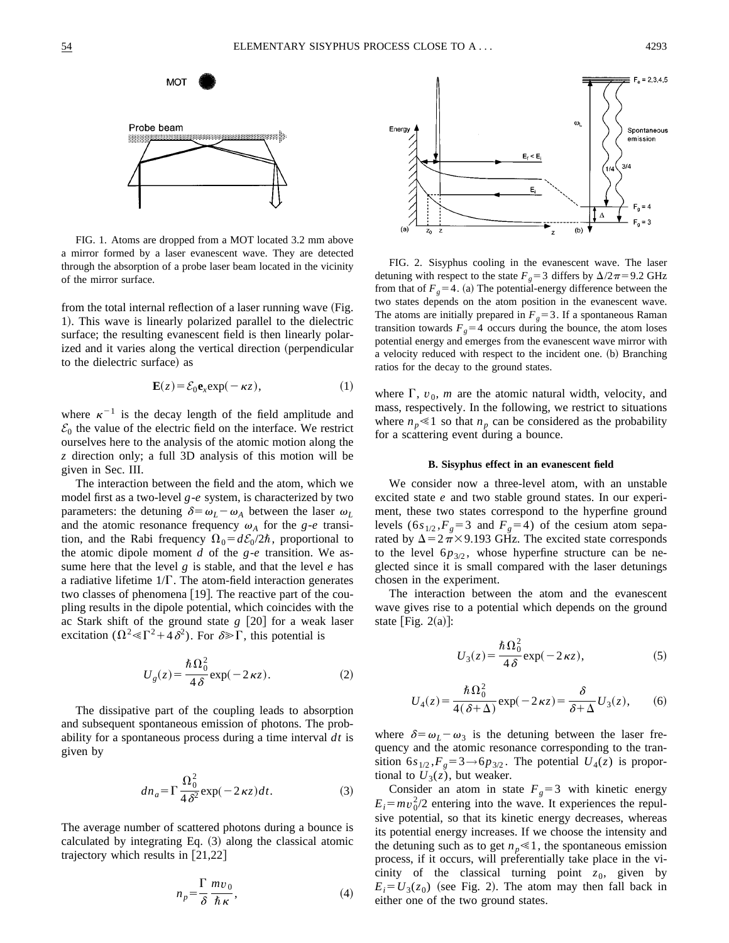

FIG. 1. Atoms are dropped from a MOT located 3.2 mm above a mirror formed by a laser evanescent wave. They are detected through the absorption of a probe laser beam located in the vicinity of the mirror surface.

from the total internal reflection of a laser running wave (Fig. 1). This wave is linearly polarized parallel to the dielectric surface; the resulting evanescent field is then linearly polarized and it varies along the vertical direction (perpendicular to the dielectric surface) as

$$
\mathbf{E}(z) = \mathcal{E}_0 \mathbf{e}_x \exp(-\kappa z), \tag{1}
$$

where  $\kappa^{-1}$  is the decay length of the field amplitude and  $\mathcal{E}_0$  the value of the electric field on the interface. We restrict ourselves here to the analysis of the atomic motion along the *z* direction only; a full 3D analysis of this motion will be given in Sec. III.

The interaction between the field and the atom, which we model first as a two-level *g*-*e* system, is characterized by two parameters: the detuning  $\delta = \omega_L - \omega_A$  between the laser  $\omega_L$ and the atomic resonance frequency  $\omega_A$  for the *g*-*e* transition, and the Rabi frequency  $\Omega_0 = d\mathcal{E}_0/2\hbar$ , proportional to the atomic dipole moment *d* of the *g*-*e* transition. We assume here that the level *g* is stable, and that the level *e* has a radiative lifetime  $1/\Gamma$ . The atom-field interaction generates two classes of phenomena  $[19]$ . The reactive part of the coupling results in the dipole potential, which coincides with the ac Stark shift of the ground state  $g$  [20] for a weak laser excitation  $(\Omega^2 \ll \Gamma^2 + 4\delta^2)$ . For  $\delta \gg \Gamma$ , this potential is

$$
U_g(z) = \frac{\hbar \,\Omega_0^2}{4\,\delta} \exp(-2\,\kappa z). \tag{2}
$$

The dissipative part of the coupling leads to absorption and subsequent spontaneous emission of photons. The probability for a spontaneous process during a time interval *dt* is given by

$$
dn_a = \Gamma \frac{\Omega_0^2}{4\delta^2} \exp(-2\kappa z) dt.
$$
 (3)

The average number of scattered photons during a bounce is calculated by integrating Eq.  $(3)$  along the classical atomic trajectory which results in  $[21,22]$ 

$$
n_p = \frac{\Gamma}{\delta} \frac{m v_0}{\hbar \kappa},\tag{4}
$$



FIG. 2. Sisyphus cooling in the evanescent wave. The laser detuning with respect to the state  $F_g$ =3 differs by  $\Delta/2\pi$ =9.2 GHz from that of  $F_g$ =4. (a) The potential-energy difference between the two states depends on the atom position in the evanescent wave. The atoms are initially prepared in  $F<sub>g</sub>=3$ . If a spontaneous Raman transition towards  $F<sub>g</sub>=4$  occurs during the bounce, the atom loses potential energy and emerges from the evanescent wave mirror with a velocity reduced with respect to the incident one. (b) Branching ratios for the decay to the ground states.

where  $\Gamma$ ,  $v_0$ , *m* are the atomic natural width, velocity, and mass, respectively. In the following, we restrict to situations where  $n_p \ll 1$  so that  $n_p$  can be considered as the probability for a scattering event during a bounce.

## **B. Sisyphus effect in an evanescent field**

We consider now a three-level atom, with an unstable excited state *e* and two stable ground states. In our experiment, these two states correspond to the hyperfine ground levels  $(6s_{1/2}, F_g=3$  and  $F_g=4$ ) of the cesium atom separated by  $\Delta = 2\pi \times 9.193$  GHz. The excited state corresponds to the level  $6p_{3/2}$ , whose hyperfine structure can be neglected since it is small compared with the laser detunings chosen in the experiment.

The interaction between the atom and the evanescent wave gives rise to a potential which depends on the ground state [Fig.  $2(a)$ ]:

$$
U_3(z) = \frac{\hbar \Omega_0^2}{4\delta} \exp(-2\kappa z),
$$
 (5)

$$
U_4(z) = \frac{\hbar \Omega_0^2}{4(\delta + \Delta)} \exp(-2\kappa z) = \frac{\delta}{\delta + \Delta} U_3(z), \qquad (6)
$$

where  $\delta = \omega_L - \omega_3$  is the detuning between the laser frequency and the atomic resonance corresponding to the transition  $6s_{1/2}$ ,  $F_g = 3 \rightarrow 6p_{3/2}$ . The potential  $U_4(z)$  is proportional to  $U_3(z)$ , but weaker.

Consider an atom in state  $F<sub>g</sub>=3$  with kinetic energy  $E_i = mv_0^2/2$  entering into the wave. It experiences the repulsive potential, so that its kinetic energy decreases, whereas its potential energy increases. If we choose the intensity and the detuning such as to get  $n_p \leq 1$ , the spontaneous emission process, if it occurs, will preferentially take place in the vicinity of the classical turning point  $z_0$ , given by  $E_i = U_3(z_0)$  (see Fig. 2). The atom may then fall back in either one of the two ground states.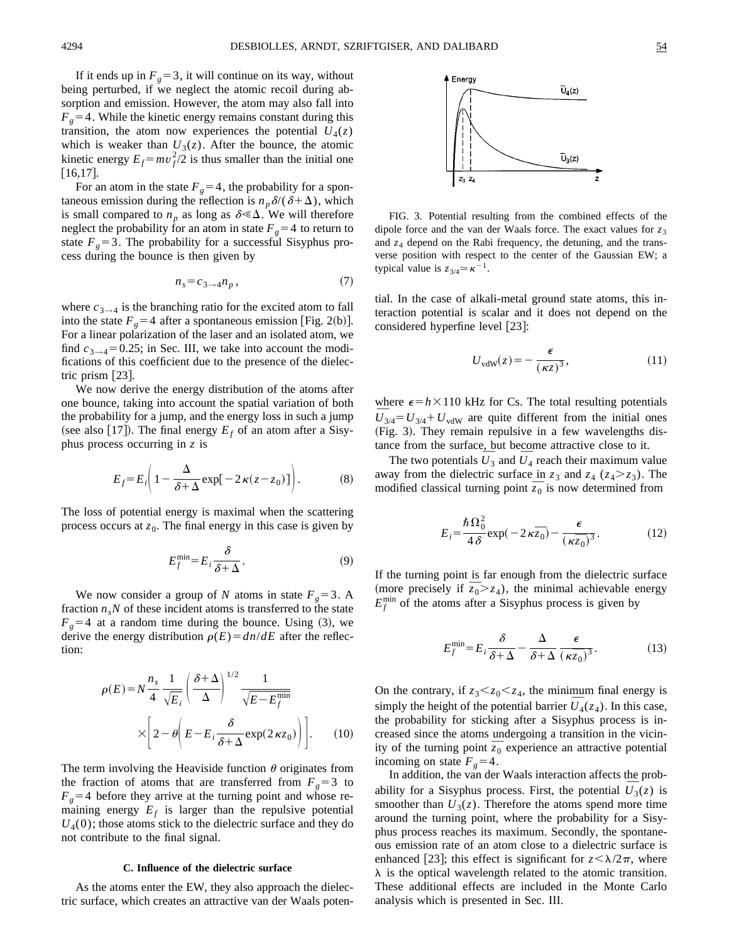If it ends up in  $F_g = 3$ , it will continue on its way, without being perturbed, if we neglect the atomic recoil during absorption and emission. However, the atom may also fall into  $F<sub>g</sub>=4$ . While the kinetic energy remains constant during this transition, the atom now experiences the potential  $U_4(z)$ which is weaker than  $U_3(z)$ . After the bounce, the atomic kinetic energy  $E_f = mv_f^2/2$  is thus smaller than the initial one  $[16,17]$ .

For an atom in the state  $F<sub>g</sub>=4$ , the probability for a spontaneous emission during the reflection is  $n_p \delta/(\delta + \Delta)$ , which is small compared to  $n_p$  as long as  $\delta \ll \Delta$ . We will therefore neglect the probability for an atom in state  $F<sub>g</sub>=4$  to return to state  $F<sub>g</sub>=3$ . The probability for a successful Sisyphus process during the bounce is then given by

$$
n_s = c_{3 \to 4} n_p , \qquad (7)
$$

where  $c_{3\rightarrow 4}$  is the branching ratio for the excited atom to fall into the state  $F<sub>g</sub>=4$  after a spontaneous emission [Fig. 2(b)]. For a linear polarization of the laser and an isolated atom, we find  $c_{3\rightarrow 4}$ =0.25; in Sec. III, we take into account the modifications of this coefficient due to the presence of the dielectric prism  $\lceil 23 \rceil$ .

We now derive the energy distribution of the atoms after one bounce, taking into account the spatial variation of both the probability for a jump, and the energy loss in such a jump (see also [17]). The final energy  $E_f$  of an atom after a Sisyphus process occurring in *z* is

$$
E_f = E_i \left( 1 - \frac{\Delta}{\delta + \Delta} \exp[-2\kappa(z - z_0)] \right). \tag{8}
$$

The loss of potential energy is maximal when the scattering process occurs at  $z_0$ . The final energy in this case is given by

$$
E_f^{\min} = E_i \frac{\delta}{\delta + \Delta}.
$$
 (9)

We now consider a group of *N* atoms in state  $F<sub>g</sub> = 3$ . A fraction  $n_sN$  of these incident atoms is transferred to the state  $F<sub>g</sub>=4$  at a random time during the bounce. Using (3), we derive the energy distribution  $\rho(E) = dn/dE$  after the reflection:

$$
\rho(E) = N \frac{n_s}{4} \frac{1}{\sqrt{E_i}} \left( \frac{\delta + \Delta}{\Delta} \right)^{1/2} \frac{1}{\sqrt{E - E_f^{\text{min}}}}
$$

$$
\times \left[ 2 - \theta \left( E - E_i \frac{\delta}{\delta + \Delta} \exp(2 \kappa z_0) \right) \right]. \tag{10}
$$

The term involving the Heaviside function  $\theta$  originates from the fraction of atoms that are transferred from  $F<sub>g</sub>=3$  to  $F<sub>g</sub>=4$  before they arrive at the turning point and whose remaining energy  $E_f$  is larger than the repulsive potential  $U_4(0)$ ; those atoms stick to the dielectric surface and they do not contribute to the final signal.

## **C. Influence of the dielectric surface**

As the atoms enter the EW, they also approach the dielectric surface, which creates an attractive van der Waals poten-



FIG. 3. Potential resulting from the combined effects of the dipole force and the van der Waals force. The exact values for  $z_3$ and  $z_4$  depend on the Rabi frequency, the detuning, and the transverse position with respect to the center of the Gaussian EW; a typical value is  $z_{3/4} \approx \kappa^{-1}$ .

tial. In the case of alkali-metal ground state atoms, this interaction potential is scalar and it does not depend on the considered hyperfine level  $[23]$ :

$$
U_{\text{vdW}}(z) = -\frac{\epsilon}{\left(\kappa z\right)^3},\tag{11}
$$

where  $\epsilon = h \times 110$  kHz for Cs. The total resulting potentials where  $\epsilon = h \times 110$  kHz for Cs. The total resulting potentials  $\overline{U}_{3/4} = U_{3/4} + U_{\text{vdW}}$  are quite different from the initial ones (Fig. 3). They remain repulsive in a few wavelengths distance from the surface, but become attractive close to it.

ce from the surface, but become attractive close to it.<br>The two potentials  $\overline{U}_3$  and  $\overline{U}_4$  reach their maximum value away from the dielectric surface in  $z_3$  and  $z_4$  ( $z_4 > z_3$ ). The away from the dielectric surface in  $z_3$  and  $z_4$  ( $z_4 > z_3$ ). The modified classical turning point  $\overline{z_0}$  is now determined from

$$
E_i = \frac{\hbar \Omega_0^2}{4 \delta} \exp(-2\kappa \overline{z_0}) - \frac{\epsilon}{(\kappa \overline{z_0})^3}.
$$
 (12)

If the turning point is far enough from the dielectric surface It the turning point is far enough from the dielectric surface<br>(more precisely if  $\overline{z_0} > z_4$ ), the minimal achievable energy  $E_f^{\text{min}}$  of the atoms after a Sisyphus process is given by

$$
E_f^{\min} = E_i \frac{\delta}{\delta + \Delta} - \frac{\Delta}{\delta + \Delta} \frac{\epsilon}{(\kappa \overline{z_0})^3}.
$$
 (13)

On the contrary, if  $z_3 \leq z_0 \leq z_4$ , the minimum final energy is On the contrary, if  $z_3 < z_0 < z_4$ , the minimum final energy is simply the height of the potential barrier  $\overline{U}_4(z_4)$ . In this case, the probability for sticking after a Sisyphus process is increased since the atoms undergoing a transition in the vicincreased since the atoms undergoing a transition in the vicin-<br>ity of the turning point  $\overline{z_0}$  experience an attractive potential incoming on state  $F<sub>g</sub>=4$ .

In addition, the van der Waals interaction affects the prob-In addition, the van der Waals interaction affects the prob-<br>ability for a Sisyphus process. First, the potential  $\overline{U}_3(z)$  is smoother than  $U_3(z)$ . Therefore the atoms spend more time around the turning point, where the probability for a Sisyphus process reaches its maximum. Secondly, the spontaneous emission rate of an atom close to a dielectric surface is enhanced [23]; this effect is significant for  $z < \lambda/2\pi$ , where  $\lambda$  is the optical wavelength related to the atomic transition. These additional effects are included in the Monte Carlo analysis which is presented in Sec. III.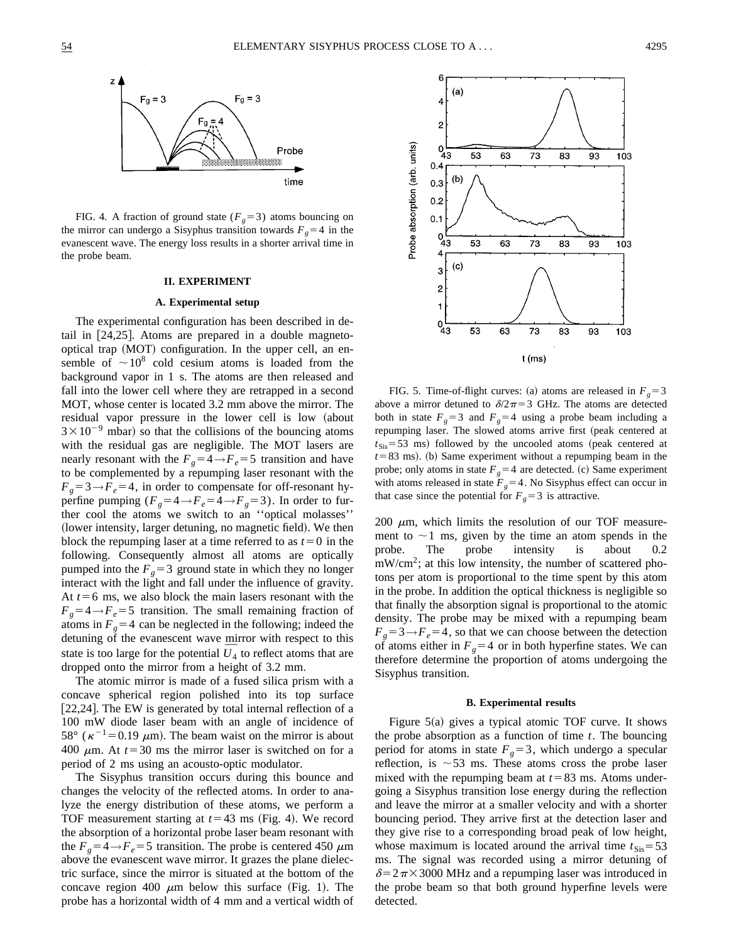

FIG. 4. A fraction of ground state  $(F<sub>g</sub>=3)$  atoms bouncing on the mirror can undergo a Sisyphus transition towards  $F<sub>g</sub>=4$  in the evanescent wave. The energy loss results in a shorter arrival time in the probe beam.

# **II. EXPERIMENT**

#### **A. Experimental setup**

The experimental configuration has been described in detail in  $[24,25]$ . Atoms are prepared in a double magnetooptical trap  $(MOT)$  configuration. In the upper cell, an ensemble of  $\sim 10^8$  cold cesium atoms is loaded from the background vapor in 1 s. The atoms are then released and fall into the lower cell where they are retrapped in a second MOT, whose center is located 3.2 mm above the mirror. The residual vapor pressure in the lower cell is low (about  $3 \times 10^{-9}$  mbar) so that the collisions of the bouncing atoms with the residual gas are negligible. The MOT lasers are nearly resonant with the  $F_g=4\rightarrow F_e=5$  transition and have to be complemented by a repumping laser resonant with the  $F_g = 3 \rightarrow F_e = 4$ , in order to compensate for off-resonant hyperfine pumping  $(F_g=4\rightarrow F_e=4\rightarrow F_g=3)$ . In order to further cool the atoms we switch to an ''optical molasses'' (lower intensity, larger detuning, no magnetic field). We then block the repumping laser at a time referred to as  $t=0$  in the following. Consequently almost all atoms are optically pumped into the  $F<sub>g</sub>=3$  ground state in which they no longer interact with the light and fall under the influence of gravity. At  $t=6$  ms, we also block the main lasers resonant with the  $F<sub>g</sub>=4 \rightarrow F<sub>e</sub>=5$  transition. The small remaining fraction of atoms in  $F<sub>g</sub>=4$  can be neglected in the following; indeed the detuning of the evanescent wave mirror with respect to this detuning of the evanescent wave mirror with respect to this state is too large for the potential  $\overline{U}_4$  to reflect atoms that are dropped onto the mirror from a height of 3.2 mm.

The atomic mirror is made of a fused silica prism with a concave spherical region polished into its top surface  $[22,24]$ . The EW is generated by total internal reflection of a 100 mW diode laser beam with an angle of incidence of 58° ( $\kappa^{-1}$  = 0.19  $\mu$ m). The beam waist on the mirror is about 400  $\mu$ m. At  $t=30$  ms the mirror laser is switched on for a period of 2 ms using an acousto-optic modulator.

The Sisyphus transition occurs during this bounce and changes the velocity of the reflected atoms. In order to analyze the energy distribution of these atoms, we perform a TOF measurement starting at  $t=43$  ms (Fig. 4). We record the absorption of a horizontal probe laser beam resonant with the  $F_g = 4 \rightarrow F_e = 5$  transition. The probe is centered 450  $\mu$ m above the evanescent wave mirror. It grazes the plane dielectric surface, since the mirror is situated at the bottom of the concave region 400  $\mu$ m below this surface (Fig. 1). The probe has a horizontal width of 4 mm and a vertical width of



FIG. 5. Time-of-flight curves: (a) atoms are released in  $F<sub>g</sub>=3$ above a mirror detuned to  $\delta/2\pi=3$  GHz. The atoms are detected both in state  $F<sub>g</sub>=3$  and  $F<sub>g</sub>=4$  using a probe beam including a repumping laser. The slowed atoms arrive first (peak centered at  $t_{\text{Sis}}$ =53 ms) followed by the uncooled atoms (peak centered at  $t=83$  ms). (b) Same experiment without a repumping beam in the probe; only atoms in state  $F<sub>g</sub>=4$  are detected. (c) Same experiment with atoms released in state  $\ddot{F}_g=4$ . No Sisyphus effect can occur in that case since the potential for  $F<sub>g</sub>=3$  is attractive.

200  $\mu$ m, which limits the resolution of our TOF measurement to  $\sim$  1 ms, given by the time an atom spends in the probe. The probe intensity is about 0.2  $mW/cm<sup>2</sup>$ ; at this low intensity, the number of scattered photons per atom is proportional to the time spent by this atom in the probe. In addition the optical thickness is negligible so that finally the absorption signal is proportional to the atomic density. The probe may be mixed with a repumping beam  $F_g = 3 \rightarrow F_e = 4$ , so that we can choose between the detection of atoms either in  $F<sub>g</sub>=4$  or in both hyperfine states. We can therefore determine the proportion of atoms undergoing the Sisyphus transition.

#### **B. Experimental results**

Figure  $5(a)$  gives a typical atomic TOF curve. It shows the probe absorption as a function of time *t*. The bouncing period for atoms in state  $F<sub>g</sub>=3$ , which undergo a specular reflection, is  $\sim$  53 ms. These atoms cross the probe laser mixed with the repumping beam at  $t=83$  ms. Atoms undergoing a Sisyphus transition lose energy during the reflection and leave the mirror at a smaller velocity and with a shorter bouncing period. They arrive first at the detection laser and they give rise to a corresponding broad peak of low height, whose maximum is located around the arrival time  $t_{\text{Sis}} = 53$ ms. The signal was recorded using a mirror detuning of  $\delta$ =2 $\pi$ ×3000 MHz and a repumping laser was introduced in the probe beam so that both ground hyperfine levels were detected.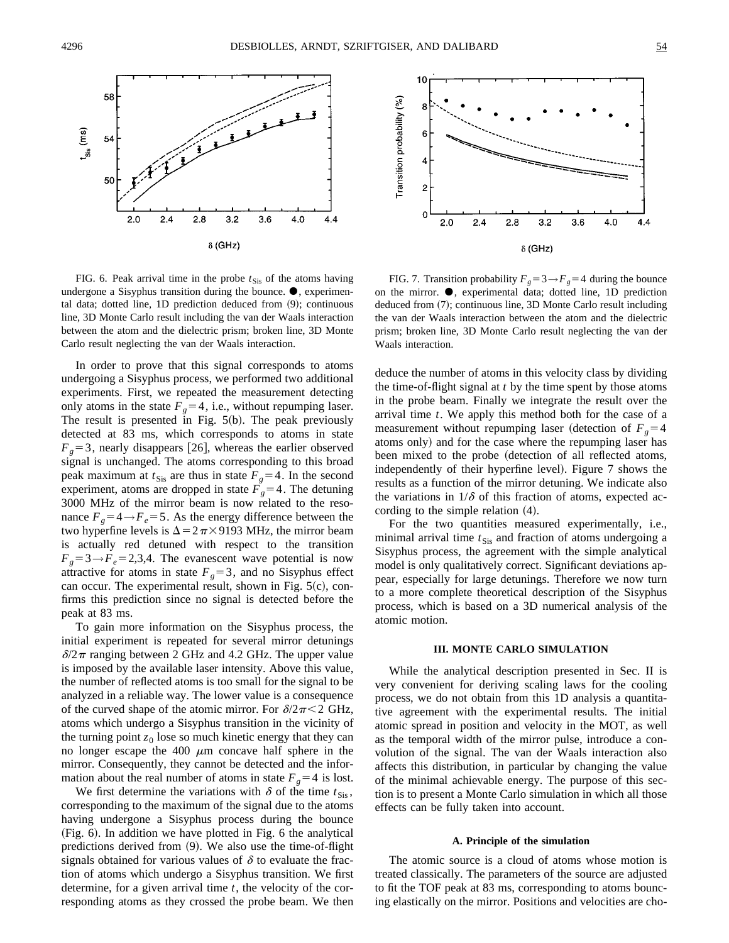

FIG. 6. Peak arrival time in the probe  $t_{\text{Sis}}$  of the atoms having undergone a Sisyphus transition during the bounce.  $\bullet$ , experimental data; dotted line, 1D prediction deduced from  $(9)$ ; continuous line, 3D Monte Carlo result including the van der Waals interaction between the atom and the dielectric prism; broken line, 3D Monte Carlo result neglecting the van der Waals interaction.

In order to prove that this signal corresponds to atoms undergoing a Sisyphus process, we performed two additional experiments. First, we repeated the measurement detecting only atoms in the state  $F<sub>g</sub>=4$ , i.e., without repumping laser. The result is presented in Fig.  $5(b)$ . The peak previously detected at 83 ms, which corresponds to atoms in state  $F<sub>g</sub>=3$ , nearly disappears [26], whereas the earlier observed signal is unchanged. The atoms corresponding to this broad peak maximum at  $t_{\text{Sis}}$  are thus in state  $F_g$ =4. In the second experiment, atoms are dropped in state  $\overrightarrow{F}_g=4$ . The detuning 3000 MHz of the mirror beam is now related to the resonance  $F_e = 4 \rightarrow F_e = 5$ . As the energy difference between the two hyperfine levels is  $\Delta = 2\pi \times 9193$  MHz, the mirror beam is actually red detuned with respect to the transition  $F<sub>g</sub>=3 \rightarrow F<sub>e</sub>=2,3,4$ . The evanescent wave potential is now attractive for atoms in state  $F<sub>g</sub>=3$ , and no Sisyphus effect can occur. The experimental result, shown in Fig.  $5(c)$ , confirms this prediction since no signal is detected before the peak at 83 ms.

To gain more information on the Sisyphus process, the initial experiment is repeated for several mirror detunings  $\delta/2\pi$  ranging between 2 GHz and 4.2 GHz. The upper value is imposed by the available laser intensity. Above this value, the number of reflected atoms is too small for the signal to be analyzed in a reliable way. The lower value is a consequence of the curved shape of the atomic mirror. For  $\delta/2\pi < 2$  GHz, atoms which undergo a Sisyphus transition in the vicinity of the turning point  $z_0$  lose so much kinetic energy that they can no longer escape the 400  $\mu$ m concave half sphere in the mirror. Consequently, they cannot be detected and the information about the real number of atoms in state  $F<sub>g</sub>=4$  is lost.

We first determine the variations with  $\delta$  of the time  $t_{\text{Sis}}$ , corresponding to the maximum of the signal due to the atoms having undergone a Sisyphus process during the bounce  $(Fig. 6)$ . In addition we have plotted in Fig. 6 the analytical predictions derived from  $(9)$ . We also use the time-of-flight signals obtained for various values of  $\delta$  to evaluate the fraction of atoms which undergo a Sisyphus transition. We first determine, for a given arrival time *t*, the velocity of the corresponding atoms as they crossed the probe beam. We then



FIG. 7. Transition probability  $F_g = 3 \rightarrow F_g = 4$  during the bounce on the mirror.  $\bullet$ , experimental data; dotted line, 1D prediction deduced from  $(7)$ ; continuous line, 3D Monte Carlo result including the van der Waals interaction between the atom and the dielectric prism; broken line, 3D Monte Carlo result neglecting the van der Waals interaction.

deduce the number of atoms in this velocity class by dividing the time-of-flight signal at *t* by the time spent by those atoms in the probe beam. Finally we integrate the result over the arrival time *t*. We apply this method both for the case of a measurement without repumping laser (detection of  $F<sub>g</sub>=4$ atoms only) and for the case where the repumping laser has been mixed to the probe (detection of all reflected atoms, independently of their hyperfine level). Figure 7 shows the results as a function of the mirror detuning. We indicate also the variations in  $1/\delta$  of this fraction of atoms, expected according to the simple relation  $(4)$ .

For the two quantities measured experimentally, i.e., minimal arrival time  $t_{\text{Sis}}$  and fraction of atoms undergoing a Sisyphus process, the agreement with the simple analytical model is only qualitatively correct. Significant deviations appear, especially for large detunings. Therefore we now turn to a more complete theoretical description of the Sisyphus process, which is based on a 3D numerical analysis of the atomic motion.

# **III. MONTE CARLO SIMULATION**

While the analytical description presented in Sec. II is very convenient for deriving scaling laws for the cooling process, we do not obtain from this 1D analysis a quantitative agreement with the experimental results. The initial atomic spread in position and velocity in the MOT, as well as the temporal width of the mirror pulse, introduce a convolution of the signal. The van der Waals interaction also affects this distribution, in particular by changing the value of the minimal achievable energy. The purpose of this section is to present a Monte Carlo simulation in which all those effects can be fully taken into account.

#### **A. Principle of the simulation**

The atomic source is a cloud of atoms whose motion is treated classically. The parameters of the source are adjusted to fit the TOF peak at 83 ms, corresponding to atoms bouncing elastically on the mirror. Positions and velocities are cho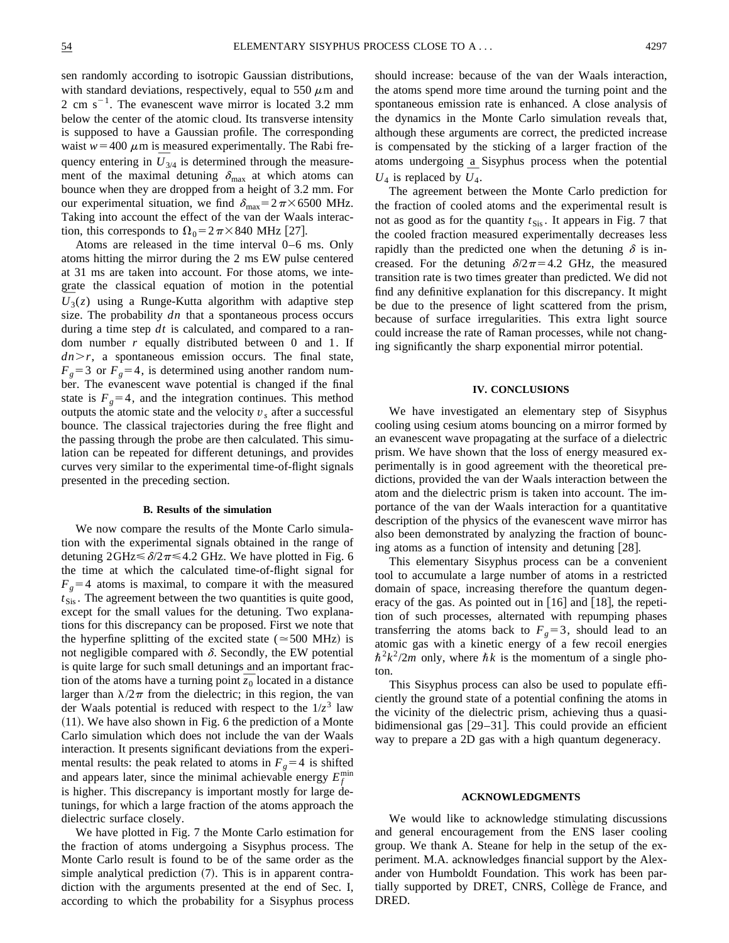sen randomly according to isotropic Gaussian distributions, with standard deviations, respectively, equal to 550  $\mu$ m and 2 cm  $s^{-1}$ . The evanescent wave mirror is located 3.2 mm below the center of the atomic cloud. Its transverse intensity is supposed to have a Gaussian profile. The corresponding waist  $w=400 \mu m$  is measured experimentally. The Rabi frewaist  $w = 400 \mu m$  is measured experimentally. The Rabi frequency entering in  $\overline{U}_{3/4}$  is determined through the measurement of the maximal detuning  $\delta_{\text{max}}$  at which atoms can bounce when they are dropped from a height of 3.2 mm. For our experimental situation, we find  $\delta_{\text{max}}=2\pi\times6500$  MHz. Taking into account the effect of the van der Waals interaction, this corresponds to  $\Omega_0 = 2 \pi \times 840 \text{ MHz}$  [27].

Atoms are released in the time interval 0–6 ms. Only atoms hitting the mirror during the 2 ms EW pulse centered at 31 ms are taken into account. For those atoms, we integrate the classical equation of motion in the potential grate the classical equation of motion in the potential  $\overline{U}_3(z)$  using a Runge-Kutta algorithm with adaptive step size. The probability *dn* that a spontaneous process occurs during a time step *dt* is calculated, and compared to a random number *r* equally distributed between 0 and 1. If  $dn > r$ , a spontaneous emission occurs. The final state,  $F<sub>g</sub>=3$  or  $F<sub>g</sub>=4$ , is determined using another random number. The evanescent wave potential is changed if the final state is  $F<sub>g</sub>=4$ , and the integration continues. This method outputs the atomic state and the velocity  $v_s$  after a successful bounce. The classical trajectories during the free flight and the passing through the probe are then calculated. This simulation can be repeated for different detunings, and provides curves very similar to the experimental time-of-flight signals presented in the preceding section.

## **B. Results of the simulation**

We now compare the results of the Monte Carlo simulation with the experimental signals obtained in the range of detuning  $2 \text{GHz} \le \delta / 2\pi \le 4.2 \text{ GHz}$ . We have plotted in Fig. 6 the time at which the calculated time-of-flight signal for  $F<sub>g</sub>=4$  atoms is maximal, to compare it with the measured  $t_{\text{Sis}}$ . The agreement between the two quantities is quite good, except for the small values for the detuning. Two explanations for this discrepancy can be proposed. First we note that the hyperfine splitting of the excited state ( $\approx$  500 MHz) is not negligible compared with  $\delta$ . Secondly, the EW potential is quite large for such small detunings and an important fracis quite large for such small detunings and an important fraction of the atoms have a turning point  $\overline{z}_0$  located in a distance larger than  $\lambda/2\pi$  from the dielectric; in this region, the van der Waals potential is reduced with respect to the  $1/z<sup>3</sup>$  law  $(11)$ . We have also shown in Fig. 6 the prediction of a Monte Carlo simulation which does not include the van der Waals interaction. It presents significant deviations from the experimental results: the peak related to atoms in  $F<sub>g</sub>=4$  is shifted and appears later, since the minimal achievable energy  $E_f^{\text{min}}$ is higher. This discrepancy is important mostly for large detunings, for which a large fraction of the atoms approach the dielectric surface closely.

We have plotted in Fig. 7 the Monte Carlo estimation for the fraction of atoms undergoing a Sisyphus process. The Monte Carlo result is found to be of the same order as the simple analytical prediction  $(7)$ . This is in apparent contradiction with the arguments presented at the end of Sec. I, according to which the probability for a Sisyphus process should increase: because of the van der Waals interaction, the atoms spend more time around the turning point and the spontaneous emission rate is enhanced. A close analysis of the dynamics in the Monte Carlo simulation reveals that, although these arguments are correct, the predicted increase is compensated by the sticking of a larger fraction of the atoms undergoing a Sisyphus process when the potential atoms undergoing a<br>  $U_4$  is replaced by  $\overline{U}_4$ .

The agreement between the Monte Carlo prediction for the fraction of cooled atoms and the experimental result is not as good as for the quantity  $t_{\text{Sis}}$ . It appears in Fig. 7 that the cooled fraction measured experimentally decreases less rapidly than the predicted one when the detuning  $\delta$  is increased. For the detuning  $\delta/2\pi$ =4.2 GHz, the measured transition rate is two times greater than predicted. We did not find any definitive explanation for this discrepancy. It might be due to the presence of light scattered from the prism, because of surface irregularities. This extra light source could increase the rate of Raman processes, while not changing significantly the sharp exponential mirror potential.

### **IV. CONCLUSIONS**

We have investigated an elementary step of Sisyphus cooling using cesium atoms bouncing on a mirror formed by an evanescent wave propagating at the surface of a dielectric prism. We have shown that the loss of energy measured experimentally is in good agreement with the theoretical predictions, provided the van der Waals interaction between the atom and the dielectric prism is taken into account. The importance of the van der Waals interaction for a quantitative description of the physics of the evanescent wave mirror has also been demonstrated by analyzing the fraction of bouncing atoms as a function of intensity and detuning  $[28]$ .

This elementary Sisyphus process can be a convenient tool to accumulate a large number of atoms in a restricted domain of space, increasing therefore the quantum degeneracy of the gas. As pointed out in  $[16]$  and  $[18]$ , the repetition of such processes, alternated with repumping phases transferring the atoms back to  $F<sub>g</sub>=3$ , should lead to an atomic gas with a kinetic energy of a few recoil energies  $\hbar^2 k^2/2m$  only, where  $\hbar k$  is the momentum of a single photon.

This Sisyphus process can also be used to populate efficiently the ground state of a potential confining the atoms in the vicinity of the dielectric prism, achieving thus a quasibidimensional gas  $[29-31]$ . This could provide an efficient way to prepare a 2D gas with a high quantum degeneracy.

### **ACKNOWLEDGMENTS**

We would like to acknowledge stimulating discussions and general encouragement from the ENS laser cooling group. We thank A. Steane for help in the setup of the experiment. M.A. acknowledges financial support by the Alexander von Humboldt Foundation. This work has been partially supported by DRET, CNRS, Collège de France, and DRED.